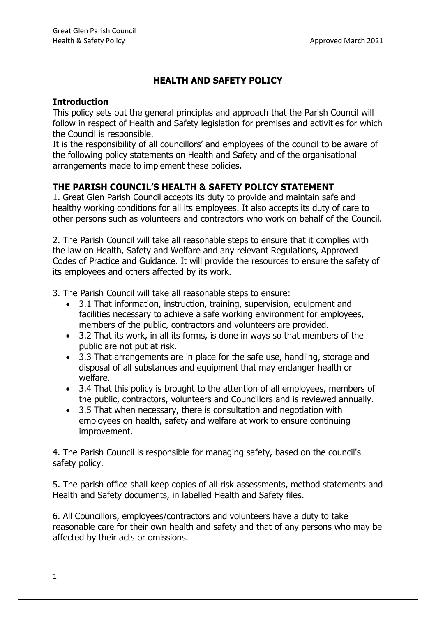## **HEALTH AND SAFETY POLICY**

## **Introduction**

This policy sets out the general principles and approach that the Parish Council will follow in respect of Health and Safety legislation for premises and activities for which the Council is responsible.

It is the responsibility of all councillors' and employees of the council to be aware of the following policy statements on Health and Safety and of the organisational arrangements made to implement these policies.

## **THE PARISH COUNCIL'S HEALTH & SAFETY POLICY STATEMENT**

1. Great Glen Parish Council accepts its duty to provide and maintain safe and healthy working conditions for all its employees. It also accepts its duty of care to other persons such as volunteers and contractors who work on behalf of the Council.

2. The Parish Council will take all reasonable steps to ensure that it complies with the law on Health, Safety and Welfare and any relevant Regulations, Approved Codes of Practice and Guidance. It will provide the resources to ensure the safety of its employees and others affected by its work.

3. The Parish Council will take all reasonable steps to ensure:

- 3.1 That information, instruction, training, supervision, equipment and facilities necessary to achieve a safe working environment for employees, members of the public, contractors and volunteers are provided.
- 3.2 That its work, in all its forms, is done in ways so that members of the public are not put at risk.
- 3.3 That arrangements are in place for the safe use, handling, storage and disposal of all substances and equipment that may endanger health or welfare.
- 3.4 That this policy is brought to the attention of all employees, members of the public, contractors, volunteers and Councillors and is reviewed annually.
- 3.5 That when necessary, there is consultation and negotiation with employees on health, safety and welfare at work to ensure continuing improvement.

4. The Parish Council is responsible for managing safety, based on the council's safety policy.

5. The parish office shall keep copies of all risk assessments, method statements and Health and Safety documents, in labelled Health and Safety files.

6. All Councillors, employees/contractors and volunteers have a duty to take reasonable care for their own health and safety and that of any persons who may be affected by their acts or omissions.